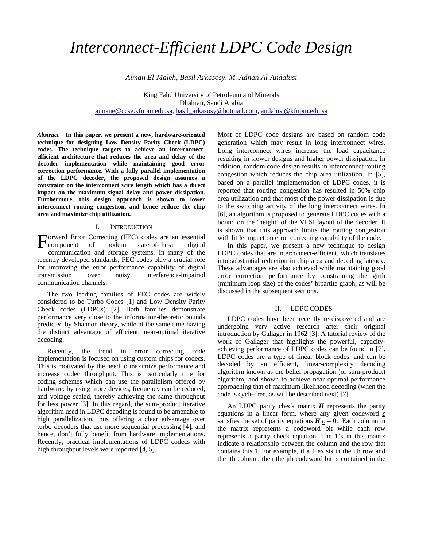# *Interconnect-Efficient LDPC Code Design*

*Aiman El-Maleh, Basil Arkasosy*, *M. Adnan Al-Andalusi*

King Fahd University of Petroleum and Minerals Dhahran, Saudi Arabia [aimane@ccse.kfupm.edu.sa,](mailto:aimane@ccse.kfupm.edu.sa) [basil\\_arkasosy@hotmail.com,](mailto:basil_arkasosy@hotmail.com) [andalusi@kfupm.edu.sa](mailto:andalusi@kfupm.edu.sa)

*Abstract*—**In this paper, we present a new, hardware-oriented technique for designing Low Density Parity Check (LDPC) codes. The technique targets to achieve an interconnectefficient architecture that reduces the area and delay of the decoder implementation while maintaining good error correction performance. With a fully parallel implementation of the LDPC decoder, the proposed design assumes a constraint on the interconnect wire length which has a direct impact on the maximum signal delay and power dissipation. Furthermore, this design approach is shown to lower interconnect routing congestion, and hence reduce the chip area and maximize chip utilization.** 

## I. INTRODUCTION

orward Error Correcting (FEC) codes are an essential Forward Error Correcting (FEC) codes are an essential<br>component of modern state-of-the-art digital communication and storage systems. In many of the recently developed standards, FEC codes play a crucial role for improving the error performance capability of digital transmission over noisy interference-impaired communication channels.

The two leading families of FEC codes are widely considered to be Turbo Codes [1] and Low Density Parity Check codes (LDPCs) [2]. Both families demonstrate performance very close to the information-theoretic bounds predicted by Shannon theory, while at the same time having the distinct advantage of efficient, near-optimal iterative decoding.

Recently, the trend in error correcting code implementation is focused on using custom chips for codecs. This is motivated by the need to maximize performance and increase codec throughput. This is particularly true for coding schemes which can use the parallelism offered by hardware: by using more devices, frequency can be reduced, and voltage scaled, thereby achieving the same throughput for less power [3]. In this regard, the sum-product iterative algorithm used in LDPC decoding is found to be amenable to high parallelization, thus offering a clear advantage over turbo decoders that use more sequential processing [4], and hence, don't fully benefit from hardware implementations. Recently, practical implementations of LDPC codecs with high throughput levels were reported [4, 5].

Most of LDPC code designs are based on random code generation which may result in long interconnect wires. Long interconnect wires increase the load capacitance resulting in slower designs and higher power dissipation. In addition, random code design results in interconnect routing congestion which reduces the chip area utilization. In [5], based on a parallel implementation of LDPC codes, it is reported that routing congestion has resulted in 50% chip area utilization and that most of the power dissipation is due to the switching activity of the long interconnect wires. In [6], an algorithm is proposed to generate LDPC codes with a bound on the 'height' of the VLSI layout of the decoder. It is shown that this approach limits the routing congestion with little impact on error correcting capability of the code.

In this paper, we present a new technique to design LDPC codes that are interconnect-efficient, which translates into substantial reduction in chip area and decoding latency. These advantages are also achieved while maintaining good error correction performance by constraining the girth (minimum loop size) of the codes' bipartite graph, as will be discussed in the subsequent sections.

#### II. LDPC CODES

LDPC codes have been recently re-discovered and are undergoing very active research after their original introduction by Gallager in 1962 [3]. A tutorial review of the work of Gallager that highlights the powerful, capacityachieving performance of LDPC codes can be found in [7]. LDPC codes are a type of linear block codes, and can be decoded by an efficient, linear-complexity decoding algorithm known as the belief propagation (or sum-product) algorithm, and shown to achieve near optimal performance approaching that of maximum likelihood decoding (when the code is cycle-free, as will be described next) [7].

An LDPC parity check matrix *H* represents the parity equations in a linear form, where any given codeword *c* satisfies the set of parity equations  $H \underline{c} = 0$ . Each column in the matrix represents a codeword bit while each row represents a parity check equation. The 1's in this matrix indicate a relationship between the column and the row that contains this 1. For example, if a 1 exists in the ith row and the jth column, then the jth codeword bit is contained in the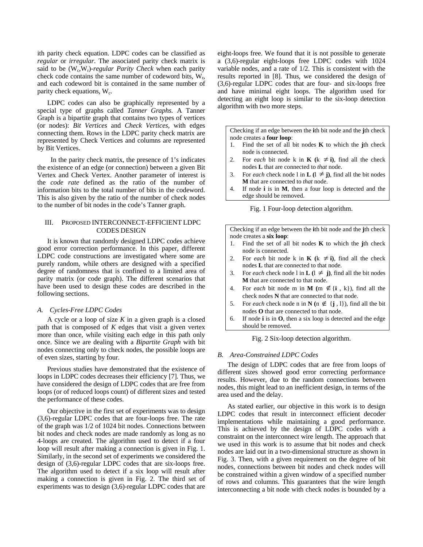ith parity check equation. LDPC codes can be classified as *regular* or *irregular*. The associated parity check matrix is said to be (W<sub>c</sub>,W<sub>r</sub>)-regular Parity Check when each parity check code contains the same number of codeword bits,  $W_r$ , and each codeword bit is contained in the same number of parity check equations,  $W_c$ .

LDPC codes can also be graphically represented by a special type of graphs called *Tanner Graphs.* A Tanner Graph is a bipartite graph that contains two types of vertices (or nodes): *Bit Vertices* and *Check Vertices,* with edges connecting them. Rows in the LDPC parity check matrix are represented by Check Vertices and columns are represented by Bit Vertices.

 In the parity check matrix, the presence of 1's indicates the existence of an edge (or connection) between a given Bit Vertex and Check Vertex. Another parameter of interest is the *code rate* defined as the ratio of the number of information bits to the total number of bits in the codeword. This is also given by the ratio of the number of check nodes to the number of bit nodes in the code's Tanner graph.

## III. PROPOSED INTERCONNECT-EFFICIENT LDPC CODES DESIGN

It is known that randomly designed LDPC codes achieve good error correction performance. In this paper, different LDPC code constructions are investigated where some are purely random, while others are designed with a specified degree of randomness that is confined to a limited area of parity matrix (or code graph). The different scenarios that have been used to design these codes are described in the following sections.

## *A. Cycles-Free LDPC Codes*

A cycle or a loop of size *K* in a given graph is a closed path that is composed of *K* edges that visit a given vertex more than once, while visiting each edge in this path only once. Since we are dealing with a *Bipartite Graph* with bit nodes connecting only to check nodes, the possible loops are of even sizes, starting by four.

Previous studies have demonstrated that the existence of loops in LDPC codes decreases their efficiency [7]. Thus, we have considered the design of LDPC codes that are free from loops (or of reduced loops count) of different sizes and tested the performance of these codes.

Our objective in the first set of experiments was to design (3,6)-regular LDPC codes that are four-loops free. The rate of the graph was 1/2 of 1024 bit nodes. Connections between bit nodes and check nodes are made randomly as long as no 4-loops are created. The algorithm used to detect if a four loop will result after making a connection is given in Fig. 1. Similarly, in the second set of experiments we considered the design of (3,6)-regular LDPC codes that are six-loops free. The algorithm used to detect if a six loop will result after making a connection is given in Fig. 2. The third set of experiments was to design (3,6)-regular LDPC codes that are

eight-loops free. We found that it is not possible to generate a (3,6)-regular eight-loops free LDPC codes with 1024 variable nodes, and a rate of 1/2. This is consistent with the results reported in [8]. Thus, we considered the design of (3,6)-regular LDPC codes that are four- and six-loops free and have minimal eight loops. The algorithm used for detecting an eight loop is similar to the six-loop detection algorithm with two more steps.

Checking if an edge between the **i**th bit node and the **j**th check node creates a **four loop**:

- 1. Find the set of all bit nodes **K** to which the **j**th check node is connected.
- 2. For *each* bit node k in **K** ( $k \neq i$ ), find all the check nodes **L** that are connected to *that* node.
- 3. For *each* check node l in **L**  $(1 \neq j)$ , find all the bit nodes **M** that are connected to *that* node.
- 4. If node **i** is in **M**, then a four loop is detected and the edge should be removed.

Fig. 1 Four-loop detection algorithm.

Checking if an edge between the **i**th bit node and the **j**th check node creates a **six loop**:

- 1. Find the set of all bit nodes **K** to which the **j**th check node is connected.
- 2. For *each* bit node k in **K** ( $k \neq i$ ), find all the check nodes **L** that are connected to that node.
- 3. For *each* check node l in **L**  $(1 \neq j)$ , find all the bit nodes **M** that are connected to that node.
- 4. For *each* bit node m in **M** (m  $\notin$  {**i**, k}), find all the check nodes **N** that are connected to that node.
- 5. For *each* check node n in **N** ( $n \notin \{j, 1\}$ ), find all the bit nodes **O** that are connected to that node.
- 6. If node **i** is in **O**, then a six loop is detected and the edge should be removed.

Fig. 2 Six-loop detection algorithm.

### *B. Area-Constrained LDPC Codes*

The design of LDPC codes that are free from loops of different sizes showed good error correcting performance results. However, due to the random connections between nodes, this might lead to an inefficient design, in terms of the area used and the delay.

As stated earlier, our objective in this work is to design LDPC codes that result in interconnect efficient decoder implementations while maintaining a good performance. This is achieved by the design of LDPC codes with a constraint on the interconnect wire length. The approach that we used in this work is to assume that bit nodes and check nodes are laid out in a two-dimensional structure as shown in Fig. 3. Then, with a given requirement on the degree of bit nodes, connections between bit nodes and check nodes will be constrained within a given window of a specified number of rows and columns. This guarantees that the wire length interconnecting a bit node with check nodes is bounded by a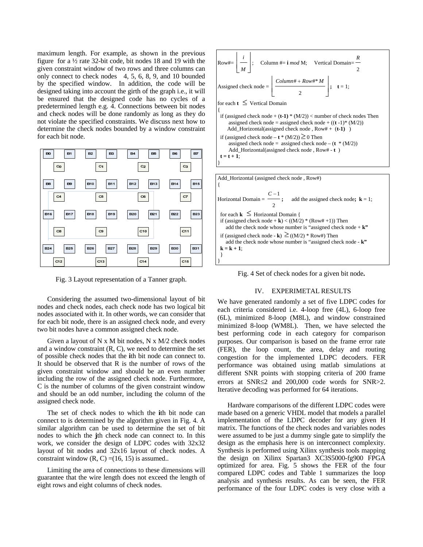maximum length. For example, as shown in the previous figure for a ½ rate 32-bit code, bit nodes 18 and 19 with the given constraint window of two rows and three columns can only connect to check nodes 4, 5, 6, 8, 9, and 10 bounded by the specified window. In addition, the code will be designed taking into account the girth of the graph i.e., it will be ensured that the designed code has no cycles of a predetermined length e.g. 4. Connections between bit nodes and check nodes will be done randomly as long as they do not violate the specified constraints. We discuss next how to determine the check nodes bounded by a window constraint for each bit node.



Fig. 3 Layout representation of a Tanner graph.

Considering the assumed two-dimensional layout of bit nodes and check nodes, each check node has two logical bit nodes associated with it. In other words, we can consider that for each bit node, there is an assigned check node, and every two bit nodes have a common assigned check node.

Given a layout of  $N \times M$  bit nodes,  $N \times M/2$  check nodes and a window constraint (R, C), we need to determine the set of possible check nodes that the **i**th bit node can connect to. It should be observed that R is the number of rows of the given constraint window and should be an even number including the row of the assigned check node. Furthermore, C is the number of columns of the given constraint window and should be an odd number, including the column of the assigned check node.

The set of check nodes to which the **i**th bit node can connect to is determined by the algorithm given in Fig. 4. A similar algorithm can be used to determine the set of bit nodes to which the **j**th check node can connect to. In this work, we consider the design of LDPC codes with 32x32 layout of bit nodes and 32x16 layout of check nodes. A constraint window  $(R, C) = (16, 15)$  is assumed..

Limiting the area of connections to these dimensions will guarantee that the wire length does not exceed the length of eight rows and eight columns of check nodes.





Fig. 4 Set of check nodes for a given bit node**.** 

## IV. EXPERIMETAL RESULTS

We have generated randomly a set of five LDPC codes for each criteria considered i.e. 4-loop free (4L), 6-loop free (6L), minimized 8-loop (M8L), and window constrained minimized 8-loop (WM8L). Then, we have selected the best performing code in each category for comparison purposes. Our comparison is based on the frame error rate (FER), the loop count, the area, delay and routing congestion for the implemented LDPC decoders. FER performance was obtained using matlab simulations at different SNR points with stopping criteria of 200 frame errors at SNR≤2 and 200,000 code words for SNR>2. Iterative decoding was performed for 64 iterations.

Hardware comparisons of the different LDPC codes were made based on a generic VHDL model that models a parallel implementation of the LDPC decoder for any given H matrix. The functions of the check nodes and variables nodes were assumed to be just a dummy single gate to simplify the design as the emphasis here is on interconnect complexity. Synthesis is performed using Xilinx synthesis tools mapping the design on Xilinx Spartan3 XC3S5000-fg900 FPGA optimized for area. Fig. 5 shows the FER of the four compared LDPC codes and Table 1 summarizes the loop analysis and synthesis results. As can be seen, the FER performance of the four LDPC codes is very close with a